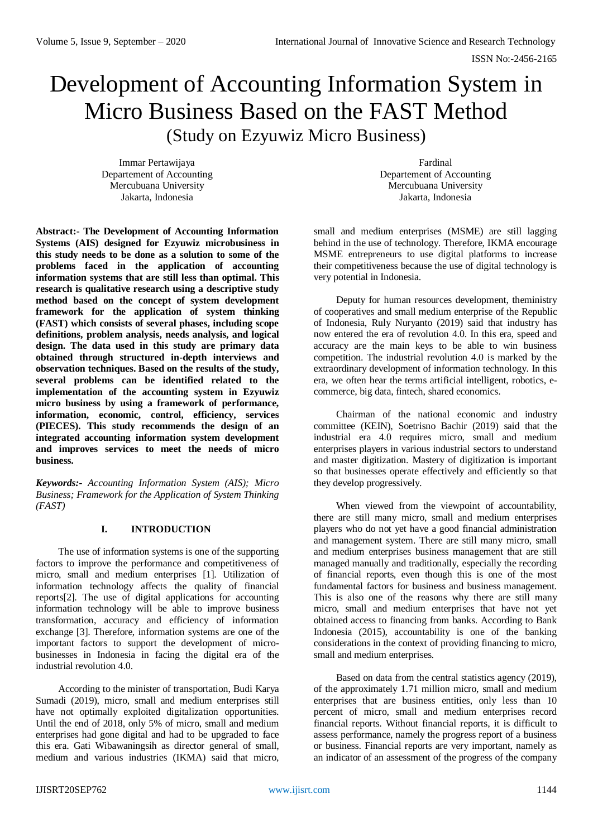# Development of Accounting Information System in Micro Business Based on the FAST Method (Study on Ezyuwiz Micro Business)

Immar Pertawijaya Departement of Accounting Mercubuana University Jakarta, Indonesia

Fardinal Departement of Accounting Mercubuana University Jakarta, Indonesia

**Abstract:- The Development of Accounting Information Systems (AIS) designed for Ezyuwiz microbusiness in this study needs to be done as a solution to some of the problems faced in the application of accounting information systems that are still less than optimal. This research is qualitative research using a descriptive study method based on the concept of system development framework for the application of system thinking (FAST) which consists of several phases, including scope definitions, problem analysis, needs analysis, and logical design. The data used in this study are primary data obtained through structured in-depth interviews and observation techniques. Based on the results of the study, several problems can be identified related to the implementation of the accounting system in Ezyuwiz micro business by using a framework of performance, information, economic, control, efficiency, services (PIECES). This study recommends the design of an integrated accounting information system development and improves services to meet the needs of micro business.**

*Keywords:- Accounting Information System (AIS); Micro Business; Framework for the Application of System Thinking (FAST)*

## **I. INTRODUCTION**

The use of information systems is one of the supporting factors to improve the performance and competitiveness of micro, small and medium enterprises [1]. Utilization of information technology affects the quality of financial reports[2]. The use of digital applications for accounting information technology will be able to improve business transformation, accuracy and efficiency of information exchange [3]. Therefore, information systems are one of the important factors to support the development of microbusinesses in Indonesia in facing the digital era of the industrial revolution 4.0.

According to the minister of transportation, Budi Karya Sumadi (2019), micro, small and medium enterprises still have not optimally exploited digitalization opportunities. Until the end of 2018, only 5% of micro, small and medium enterprises had gone digital and had to be upgraded to face this era. Gati Wibawaningsih as director general of small, medium and various industries (IKMA) said that micro,

small and medium enterprises (MSME) are still lagging behind in the use of technology. Therefore, IKMA encourage MSME entrepreneurs to use digital platforms to increase their competitiveness because the use of digital technology is very potential in Indonesia.

Deputy for human resources development, theministry of cooperatives and small medium enterprise of the Republic of Indonesia, Ruly Nuryanto (2019) said that industry has now entered the era of revolution 4.0. In this era, speed and accuracy are the main keys to be able to win business competition. The industrial revolution 4.0 is marked by the extraordinary development of information technology. In this era, we often hear the terms artificial intelligent, robotics, ecommerce, big data, fintech, shared economics.

Chairman of the national economic and industry committee (KEIN), Soetrisno Bachir (2019) said that the industrial era 4.0 requires micro, small and medium enterprises players in various industrial sectors to understand and master digitization. Mastery of digitization is important so that businesses operate effectively and efficiently so that they develop progressively.

When viewed from the viewpoint of accountability, there are still many micro, small and medium enterprises players who do not yet have a good financial administration and management system. There are still many micro, small and medium enterprises business management that are still managed manually and traditionally, especially the recording of financial reports, even though this is one of the most fundamental factors for business and business management. This is also one of the reasons why there are still many micro, small and medium enterprises that have not yet obtained access to financing from banks. According to Bank Indonesia (2015), accountability is one of the banking considerations in the context of providing financing to micro, small and medium enterprises.

Based on data from the central statistics agency (2019), of the approximately 1.71 million micro, small and medium enterprises that are business entities, only less than 10 percent of micro, small and medium enterprises record financial reports. Without financial reports, it is difficult to assess performance, namely the progress report of a business or business. Financial reports are very important, namely as an indicator of an assessment of the progress of the company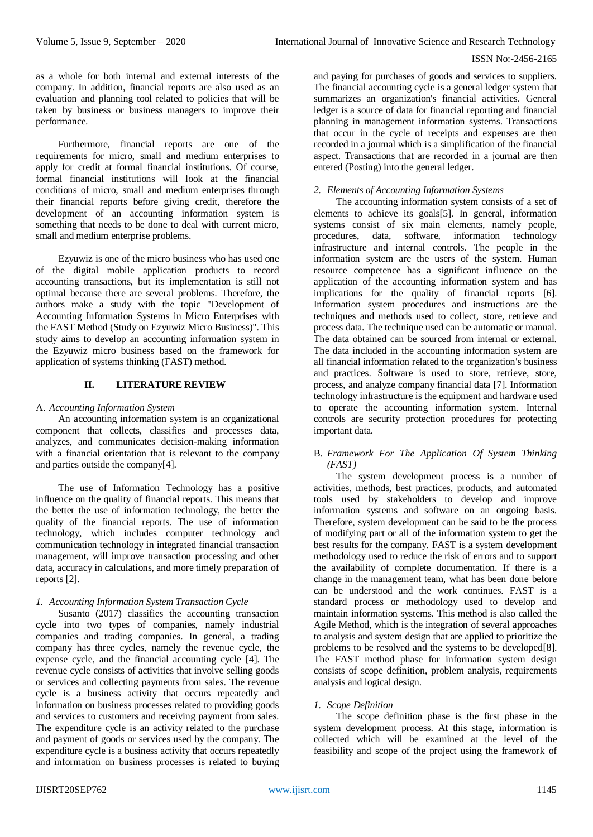as a whole for both internal and external interests of the company. In addition, financial reports are also used as an evaluation and planning tool related to policies that will be taken by business or business managers to improve their performance.

Furthermore, financial reports are one of the requirements for micro, small and medium enterprises to apply for credit at formal financial institutions. Of course, formal financial institutions will look at the financial conditions of micro, small and medium enterprises through their financial reports before giving credit, therefore the development of an accounting information system is something that needs to be done to deal with current micro, small and medium enterprise problems.

Ezyuwiz is one of the micro business who has used one of the digital mobile application products to record accounting transactions, but its implementation is still not optimal because there are several problems. Therefore, the authors make a study with the topic "Development of Accounting Information Systems in Micro Enterprises with the FAST Method (Study on Ezyuwiz Micro Business)". This study aims to develop an accounting information system in the Ezyuwiz micro business based on the framework for application of systems thinking (FAST) method.

#### **II. LITERATURE REVIEW**

#### A. *Accounting Information System*

An accounting information system is an organizational component that collects, classifies and processes data, analyzes, and communicates decision-making information with a financial orientation that is relevant to the company and parties outside the company[4].

The use of Information Technology has a positive influence on the quality of financial reports. This means that the better the use of information technology, the better the quality of the financial reports. The use of information technology, which includes computer technology and communication technology in integrated financial transaction management, will improve transaction processing and other data, accuracy in calculations, and more timely preparation of reports [2].

## *1. Accounting Information System Transaction Cycle*

Susanto (2017) classifies the accounting transaction cycle into two types of companies, namely industrial companies and trading companies. In general, a trading company has three cycles, namely the revenue cycle, the expense cycle, and the financial accounting cycle [4]. The revenue cycle consists of activities that involve selling goods or services and collecting payments from sales. The revenue cycle is a business activity that occurs repeatedly and information on business processes related to providing goods and services to customers and receiving payment from sales. The expenditure cycle is an activity related to the purchase and payment of goods or services used by the company. The expenditure cycle is a business activity that occurs repeatedly and information on business processes is related to buying

and paying for purchases of goods and services to suppliers. The financial accounting cycle is a general ledger system that summarizes an organization's financial activities. General ledger is a source of data for financial reporting and financial planning in management information systems. Transactions that occur in the cycle of receipts and expenses are then recorded in a journal which is a simplification of the financial aspect. Transactions that are recorded in a journal are then entered (Posting) into the general ledger.

## *2. Elements of Accounting Information Systems*

The accounting information system consists of a set of elements to achieve its goals[5]. In general, information systems consist of six main elements, namely people, procedures, data, software, information technology infrastructure and internal controls. The people in the information system are the users of the system. Human resource competence has a significant influence on the application of the accounting information system and has implications for the quality of financial reports [6]. Information system procedures and instructions are the techniques and methods used to collect, store, retrieve and process data. The technique used can be automatic or manual. The data obtained can be sourced from internal or external. The data included in the accounting information system are all financial information related to the organization's business and practices. Software is used to store, retrieve, store, process, and analyze company financial data [7]. Information technology infrastructure is the equipment and hardware used to operate the accounting information system. Internal controls are security protection procedures for protecting important data.

## B. *Framework For The Application Of System Thinking (FAST)*

The system development process is a number of activities, methods, best practices, products, and automated tools used by stakeholders to develop and improve information systems and software on an ongoing basis. Therefore, system development can be said to be the process of modifying part or all of the information system to get the best results for the company. FAST is a system development methodology used to reduce the risk of errors and to support the availability of complete documentation. If there is a change in the management team, what has been done before can be understood and the work continues. FAST is a standard process or methodology used to develop and maintain information systems. This method is also called the Agile Method, which is the integration of several approaches to analysis and system design that are applied to prioritize the problems to be resolved and the systems to be developed[8]. The FAST method phase for information system design consists of scope definition, problem analysis, requirements analysis and logical design.

## *1. Scope Definition*

The scope definition phase is the first phase in the system development process. At this stage, information is collected which will be examined at the level of the feasibility and scope of the project using the framework of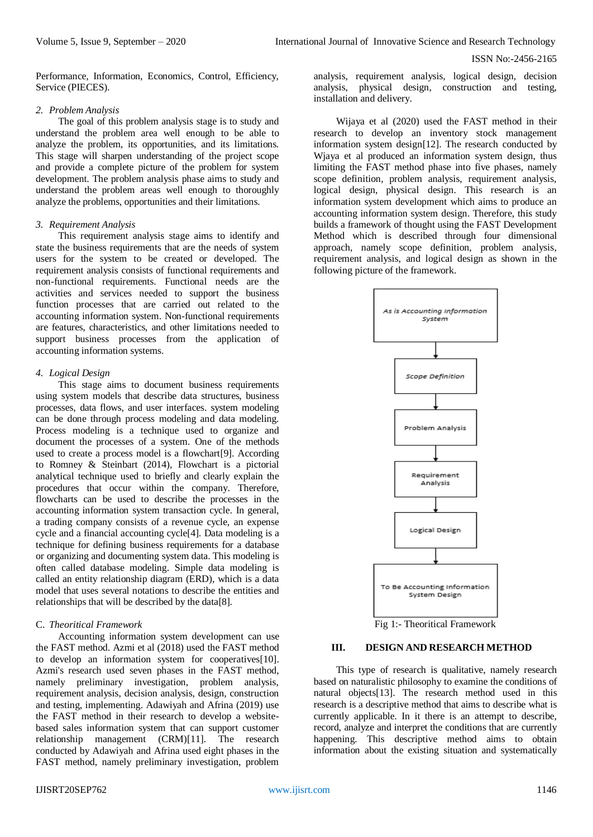Performance, Information, Economics, Control, Efficiency, Service (PIECES).

## *2. Problem Analysis*

The goal of this problem analysis stage is to study and understand the problem area well enough to be able to analyze the problem, its opportunities, and its limitations. This stage will sharpen understanding of the project scope and provide a complete picture of the problem for system development. The problem analysis phase aims to study and understand the problem areas well enough to thoroughly analyze the problems, opportunities and their limitations.

#### *3. Requirement Analysis*

This requirement analysis stage aims to identify and state the business requirements that are the needs of system users for the system to be created or developed. The requirement analysis consists of functional requirements and non-functional requirements. Functional needs are the activities and services needed to support the business function processes that are carried out related to the accounting information system. Non-functional requirements are features, characteristics, and other limitations needed to support business processes from the application of accounting information systems.

## *4. Logical Design*

This stage aims to document business requirements using system models that describe data structures, business processes, data flows, and user interfaces. system modeling can be done through process modeling and data modeling. Process modeling is a technique used to organize and document the processes of a system. One of the methods used to create a process model is a flowchart[9]. According to Romney & Steinbart (2014), Flowchart is a pictorial analytical technique used to briefly and clearly explain the procedures that occur within the company. Therefore, flowcharts can be used to describe the processes in the accounting information system transaction cycle. In general, a trading company consists of a revenue cycle, an expense cycle and a financial accounting cycle[4]. Data modeling is a technique for defining business requirements for a database or organizing and documenting system data. This modeling is often called database modeling. Simple data modeling is called an entity relationship diagram (ERD), which is a data model that uses several notations to describe the entities and relationships that will be described by the data[8].

## C. *Theoritical Framework*

Accounting information system development can use the FAST method. Azmi et al (2018) used the FAST method to develop an information system for cooperatives[10]. Azmi's research used seven phases in the FAST method, namely preliminary investigation, problem analysis, requirement analysis, decision analysis, design, construction and testing, implementing. Adawiyah and Afrina (2019) use the FAST method in their research to develop a websitebased sales information system that can support customer relationship management (CRM)[11]. The research conducted by Adawiyah and Afrina used eight phases in the FAST method, namely preliminary investigation, problem

analysis, requirement analysis, logical design, decision analysis, physical design, construction and testing, installation and delivery.

Wijaya et al (2020) used the FAST method in their research to develop an inventory stock management information system design[12]. The research conducted by Wjaya et al produced an information system design, thus limiting the FAST method phase into five phases, namely scope definition, problem analysis, requirement analysis, logical design, physical design. This research is an information system development which aims to produce an accounting information system design. Therefore, this study builds a framework of thought using the FAST Development Method which is described through four dimensional approach, namely scope definition, problem analysis, requirement analysis, and logical design as shown in the following picture of the framework.



Fig 1:- Theoritical Framework

#### **III. DESIGN AND RESEARCH METHOD**

This type of research is qualitative, namely research based on naturalistic philosophy to examine the conditions of natural objects[13]. The research method used in this research is a descriptive method that aims to describe what is currently applicable. In it there is an attempt to describe, record, analyze and interpret the conditions that are currently happening. This descriptive method aims to obtain information about the existing situation and systematically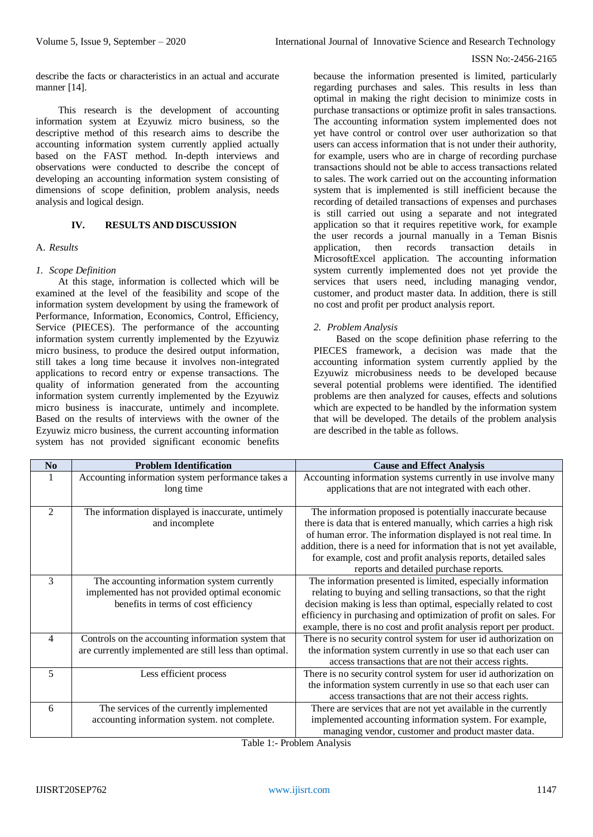describe the facts or characteristics in an actual and accurate manner [14].

This research is the development of accounting information system at Ezyuwiz micro business, so the descriptive method of this research aims to describe the accounting information system currently applied actually based on the FAST method. In-depth interviews and observations were conducted to describe the concept of developing an accounting information system consisting of dimensions of scope definition, problem analysis, needs analysis and logical design.

## **IV. RESULTS AND DISCUSSION**

#### A. *Results*

#### *1. Scope Definition*

At this stage, information is collected which will be examined at the level of the feasibility and scope of the information system development by using the framework of Performance, Information, Economics, Control, Efficiency, Service (PIECES). The performance of the accounting information system currently implemented by the Ezyuwiz micro business, to produce the desired output information, still takes a long time because it involves non-integrated applications to record entry or expense transactions. The quality of information generated from the accounting information system currently implemented by the Ezyuwiz micro business is inaccurate, untimely and incomplete. Based on the results of interviews with the owner of the Ezyuwiz micro business, the current accounting information system has not provided significant economic benefits because the information presented is limited, particularly regarding purchases and sales. This results in less than optimal in making the right decision to minimize costs in purchase transactions or optimize profit in sales transactions. The accounting information system implemented does not yet have control or control over user authorization so that users can access information that is not under their authority, for example, users who are in charge of recording purchase transactions should not be able to access transactions related to sales. The work carried out on the accounting information system that is implemented is still inefficient because the recording of detailed transactions of expenses and purchases is still carried out using a separate and not integrated application so that it requires repetitive work, for example the user records a journal manually in a Teman Bisnis<br>annlication then records transaction details in application, then records transaction details MicrosoftExcel application. The accounting information system currently implemented does not yet provide the services that users need, including managing vendor, customer, and product master data. In addition, there is still no cost and profit per product analysis report.

## *2. Problem Analysis*

Based on the scope definition phase referring to the PIECES framework, a decision was made that the accounting information system currently applied by the Ezyuwiz microbusiness needs to be developed because several potential problems were identified. The identified problems are then analyzed for causes, effects and solutions which are expected to be handled by the information system that will be developed. The details of the problem analysis are described in the table as follows.

| N <sub>0</sub> | <b>Problem Identification</b>                          | <b>Cause and Effect Analysis</b>                                     |
|----------------|--------------------------------------------------------|----------------------------------------------------------------------|
|                | Accounting information system performance takes a      | Accounting information systems currently in use involve many         |
|                | long time                                              | applications that are not integrated with each other.                |
|                |                                                        |                                                                      |
| $\overline{2}$ | The information displayed is inaccurate, untimely      | The information proposed is potentially inaccurate because           |
|                | and incomplete                                         | there is data that is entered manually, which carries a high risk    |
|                |                                                        | of human error. The information displayed is not real time. In       |
|                |                                                        | addition, there is a need for information that is not yet available, |
|                |                                                        | for example, cost and profit analysis reports, detailed sales        |
|                |                                                        | reports and detailed purchase reports.                               |
| 3              | The accounting information system currently            | The information presented is limited, especially information         |
|                | implemented has not provided optimal economic          | relating to buying and selling transactions, so that the right       |
|                | benefits in terms of cost efficiency                   | decision making is less than optimal, especially related to cost     |
|                |                                                        | efficiency in purchasing and optimization of profit on sales. For    |
|                |                                                        | example, there is no cost and profit analysis report per product.    |
| 4              | Controls on the accounting information system that     | There is no security control system for user id authorization on     |
|                | are currently implemented are still less than optimal. | the information system currently in use so that each user can        |
|                |                                                        | access transactions that are not their access rights.                |
| 5              | Less efficient process                                 | There is no security control system for user id authorization on     |
|                |                                                        | the information system currently in use so that each user can        |
|                |                                                        | access transactions that are not their access rights.                |
| 6              | The services of the currently implemented              | There are services that are not yet available in the currently       |
|                | accounting information system. not complete.           | implemented accounting information system. For example,              |
|                |                                                        | managing vendor, customer and product master data.                   |

Table 1:- Problem Analysis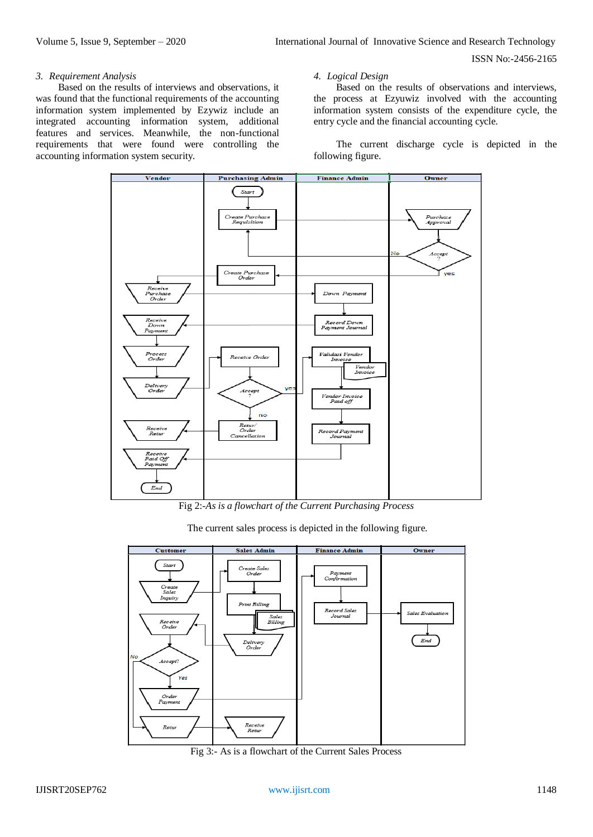#### *3. Requirement Analysis*

Based on the results of interviews and observations, it was found that the functional requirements of the accounting information system implemented by Ezywiz include an integrated accounting information system, additional features and services. Meanwhile, the non-functional requirements that were found were controlling the accounting information system security.

#### *4. Logical Design*

Based on the results of observations and interviews, the process at Ezyuwiz involved with the accounting information system consists of the expenditure cycle, the entry cycle and the financial accounting cycle.

The current discharge cycle is depicted in the following figure.



Fig 2:-*As is a flowchart of the Current Purchasing Process*

The current sales process is depicted in the following figure.



Fig 3:- As is a flowchart of the Current Sales Process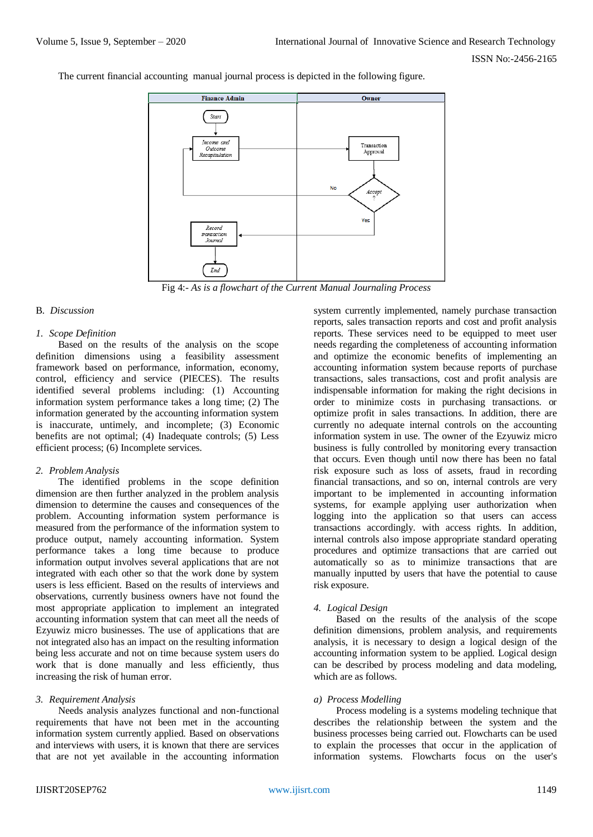The current financial accounting manual journal process is depicted in the following figure.



Fig 4:- *As is a flowchart of the Current Manual Journaling Process*

#### B. *Discussion*

## *1. Scope Definition*

Based on the results of the analysis on the scope definition dimensions using a feasibility assessment framework based on performance, information, economy, control, efficiency and service (PIECES). The results identified several problems including: (1) Accounting information system performance takes a long time; (2) The information generated by the accounting information system is inaccurate, untimely, and incomplete; (3) Economic benefits are not optimal; (4) Inadequate controls; (5) Less efficient process; (6) Incomplete services.

## *2. Problem Analysis*

The identified problems in the scope definition dimension are then further analyzed in the problem analysis dimension to determine the causes and consequences of the problem. Accounting information system performance is measured from the performance of the information system to produce output, namely accounting information. System performance takes a long time because to produce information output involves several applications that are not integrated with each other so that the work done by system users is less efficient. Based on the results of interviews and observations, currently business owners have not found the most appropriate application to implement an integrated accounting information system that can meet all the needs of Ezyuwiz micro businesses. The use of applications that are not integrated also has an impact on the resulting information being less accurate and not on time because system users do work that is done manually and less efficiently, thus increasing the risk of human error.

## *3. Requirement Analysis*

Needs analysis analyzes functional and non-functional requirements that have not been met in the accounting information system currently applied. Based on observations and interviews with users, it is known that there are services that are not yet available in the accounting information

system currently implemented, namely purchase transaction reports, sales transaction reports and cost and profit analysis reports. These services need to be equipped to meet user needs regarding the completeness of accounting information and optimize the economic benefits of implementing an accounting information system because reports of purchase transactions, sales transactions, cost and profit analysis are indispensable information for making the right decisions in order to minimize costs in purchasing transactions. or optimize profit in sales transactions. In addition, there are currently no adequate internal controls on the accounting information system in use. The owner of the Ezyuwiz micro business is fully controlled by monitoring every transaction that occurs. Even though until now there has been no fatal risk exposure such as loss of assets, fraud in recording financial transactions, and so on, internal controls are very important to be implemented in accounting information systems, for example applying user authorization when logging into the application so that users can access transactions accordingly. with access rights. In addition, internal controls also impose appropriate standard operating procedures and optimize transactions that are carried out automatically so as to minimize transactions that are manually inputted by users that have the potential to cause risk exposure.

# *4. Logical Design*

Based on the results of the analysis of the scope definition dimensions, problem analysis, and requirements analysis, it is necessary to design a logical design of the accounting information system to be applied. Logical design can be described by process modeling and data modeling, which are as follows.

## *a) Process Modelling*

Process modeling is a systems modeling technique that describes the relationship between the system and the business processes being carried out. Flowcharts can be used to explain the processes that occur in the application of information systems. Flowcharts focus on the user's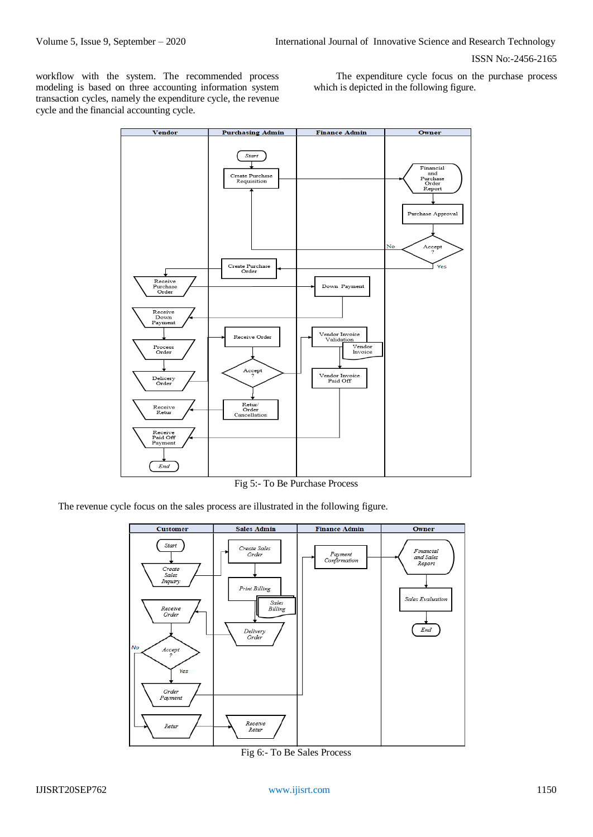workflow with the system. The recommended process modeling is based on three accounting information system transaction cycles, namely the expenditure cycle, the revenue cycle and the financial accounting cycle.

The expenditure cycle focus on the purchase process which is depicted in the following figure.



Fig 5:- To Be Purchase Process

The revenue cycle focus on the sales process are illustrated in the following figure.



Fig 6:- To Be Sales Process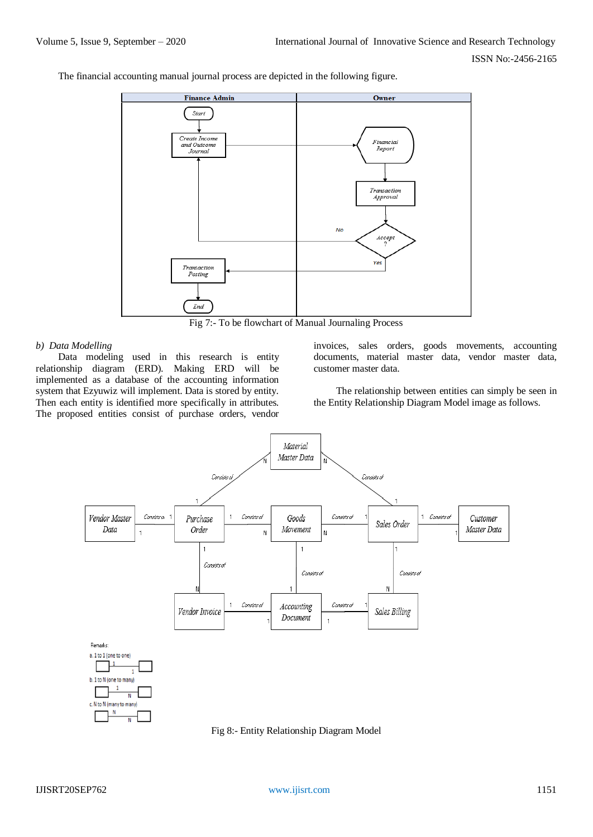The financial accounting manual journal process are depicted in the following figure.



Fig 7:- To be flowchart of Manual Journaling Process

#### *b) Data Modelling*

Data modeling used in this research is entity relationship diagram (ERD). Making ERD will be implemented as a database of the accounting information system that Ezyuwiz will implement. Data is stored by entity. Then each entity is identified more specifically in attributes. The proposed entities consist of purchase orders, vendor

invoices, sales orders, goods movements, accounting documents, material master data, vendor master data, customer master data.

The relationship between entities can simply be seen in the Entity Relationship Diagram Model image as follows.



Fig 8:- Entity Relationship Diagram Model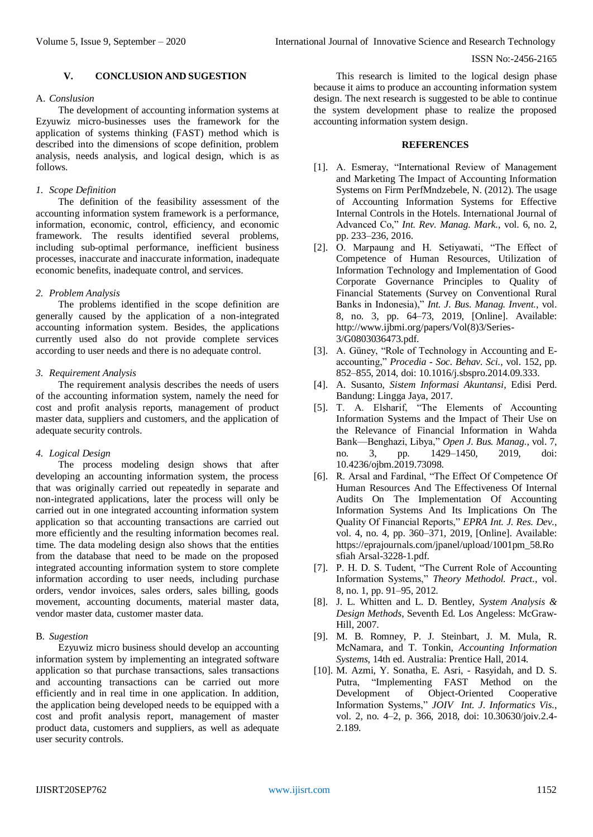## **V. CONCLUSION AND SUGESTION**

## A. *Conslusion*

The development of accounting information systems at Ezyuwiz micro-businesses uses the framework for the application of systems thinking (FAST) method which is described into the dimensions of scope definition, problem analysis, needs analysis, and logical design, which is as follows.

## *1. Scope Definition*

The definition of the feasibility assessment of the accounting information system framework is a performance, information, economic, control, efficiency, and economic framework. The results identified several problems, including sub-optimal performance, inefficient business processes, inaccurate and inaccurate information, inadequate economic benefits, inadequate control, and services.

## *2. Problem Analysis*

The problems identified in the scope definition are generally caused by the application of a non-integrated accounting information system. Besides, the applications currently used also do not provide complete services according to user needs and there is no adequate control.

## *3. Requirement Analysis*

The requirement analysis describes the needs of users of the accounting information system, namely the need for cost and profit analysis reports, management of product master data, suppliers and customers, and the application of adequate security controls.

# *4. Logical Design*

The process modeling design shows that after developing an accounting information system, the process that was originally carried out repeatedly in separate and non-integrated applications, later the process will only be carried out in one integrated accounting information system application so that accounting transactions are carried out more efficiently and the resulting information becomes real. time. The data modeling design also shows that the entities from the database that need to be made on the proposed integrated accounting information system to store complete information according to user needs, including purchase orders, vendor invoices, sales orders, sales billing, goods movement, accounting documents, material master data, vendor master data, customer master data.

## B. *Sugestion*

Ezyuwiz micro business should develop an accounting information system by implementing an integrated software application so that purchase transactions, sales transactions and accounting transactions can be carried out more efficiently and in real time in one application. In addition, the application being developed needs to be equipped with a cost and profit analysis report, management of master product data, customers and suppliers, as well as adequate user security controls.

This research is limited to the logical design phase because it aims to produce an accounting information system design. The next research is suggested to be able to continue the system development phase to realize the proposed accounting information system design.

#### **REFERENCES**

- [1]. A. Esmeray, "International Review of Management and Marketing The Impact of Accounting Information Systems on Firm PerfMndzebele, N. (2012). The usage of Accounting Information Systems for Effective Internal Controls in the Hotels. International Journal of Advanced Co," *Int. Rev. Manag. Mark.*, vol. 6, no. 2, pp. 233–236, 2016.
- [2]. O. Marpaung and H. Setiyawati, "The Effect of Competence of Human Resources, Utilization of Information Technology and Implementation of Good Corporate Governance Principles to Quality of Financial Statements (Survey on Conventional Rural Banks in Indonesia)," *Int. J. Bus. Manag. Invent.*, vol. 8, no. 3, pp. 64–73, 2019, [Online]. Available: http://www.ijbmi.org/papers/Vol(8)3/Series-3/G0803036473.pdf.
- [3]. A. Güney, "Role of Technology in Accounting and Eaccounting," *Procedia - Soc. Behav. Sci.*, vol. 152, pp. 852–855, 2014, doi: 10.1016/j.sbspro.2014.09.333.
- [4]. A. Susanto, *Sistem Informasi Akuntansi*, Edisi Perd. Bandung: Lingga Jaya, 2017.
- [5]. T. A. Elsharif, "The Elements of Accounting Information Systems and the Impact of Their Use on the Relevance of Financial Information in Wahda Bank—Benghazi, Libya," *Open J. Bus. Manag.*, vol. 7, no. 3, pp. 1429–1450, 2019, doi: 10.4236/ojbm.2019.73098.
- [6]. R. Arsal and Fardinal, "The Effect Of Competence Of Human Resources And The Effectiveness Of Internal Audits On The Implementation Of Accounting Information Systems And Its Implications On The Quality Of Financial Reports," *EPRA Int. J. Res. Dev.*, vol. 4, no. 4, pp. 360–371, 2019, [Online]. Available: https://eprajournals.com/jpanel/upload/1001pm\_58.Ro sfiah Arsal-3228-1.pdf.
- [7]. P. H. D. S. Tudent, "The Current Role of Accounting Information Systems," *Theory Methodol. Pract.*, vol. 8, no. 1, pp. 91–95, 2012.
- [8]. J. L. Whitten and L. D. Bentley, *System Analysis & Design Methods*, Seventh Ed. Los Angeless: McGraw-Hill, 2007.
- [9]. M. B. Romney, P. J. Steinbart, J. M. Mula, R. McNamara, and T. Tonkin, *Accounting Information Systems*, 14th ed. Australia: Prentice Hall, 2014.
- [10]. M. Azmi, Y. Sonatha, E. Asri, Rasyidah, and D. S. Putra, "Implementing FAST Method on the Development of Object-Oriented Cooperative Information Systems," *JOIV Int. J. Informatics Vis.*, vol. 2, no. 4–2, p. 366, 2018, doi: 10.30630/joiv.2.4- 2.189.